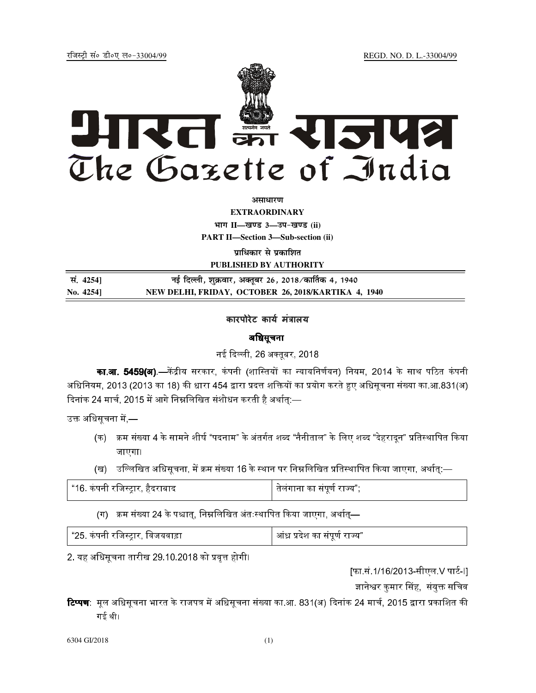jftLVªh laö Mhö, yö&33004@99 REGD. NO. D. L.-33004/99



*<u>ature</u>lian* 

**EXTRAORDINARY Hkkx II—[k.M 3—mi&[k.M (ii)**

**PART II—Section 3—Sub-section (ii)** 

**प्राधिकार से प्रकाशित** 

**PUBLISHED BY AUTHORITY**

| सं. 4254]           | नई दिल्ली, शुक्रवार, अक्तूबर 26, 2018 ⁄ कार्तिक 4, 1940 |
|---------------------|---------------------------------------------------------|
| $\mathrm{No.} 4254$ | NEW DELHI, FRIDAY, OCTOBER 26, 2018/KARTIKA 4, 1940     |

## कारपोरेट कार्य मंत्रालय

## अधिसूचना

नई दिल्ली. 26 अक्तबर. 2018.

**का.आ. 5459(अ)**.—केंद्रीय सरकार, कंपनी (शास्तियों का न्यायनिर्णयन) नियम, 2014 के साथ पठित कंपनी अधिनियम. 2013 (2013 का 18) की धारा 454 द्वारा प्रदत्त शक्तियों का प्रयोग करते हुए अधिसचना संख्या का.आ.831(अ) दिनांक 24 मार्च. 2015 में आगे निम्नलिखित संशोधन करती है अर्थात:—

उक्त अधिसचना में — $\,$ 

- (क) क्रम संख्या 4 के सामने शीर्ष "पदनाम" के अंतर्गत शब्द "नैनीताल" के लिए शब्द "देहरादन" प्रतिस्थापित किया जाएगा।
- (ख) उल्लिखित अधिसचना. में क्रम संख्या 16 के स्थान पर निम्नलिखित प्रतिस्थापित किया जाएगा. अर्थात:—

| "16. कंपनी रजिस्ट्रार, हैदराबाद | तेलंगाना का संपूर्ण राज्य"; |
|---------------------------------|-----------------------------|
|                                 |                             |

 $($ ग) क्रम संख्या 24 के पश्चात्, निम्नलिखित अंतःस्थापित किया जाएगा, अर्थात्—

| "25. कंपनी रजिस्ट्रार, विजयवाड़ा | आंध्र प्रदेश का संपूर्ण राज्य" |
|----------------------------------|--------------------------------|
|----------------------------------|--------------------------------|

2. यह अधिसचना तारीख 29.10.2018 को प्रवत्त होगी।

[फा.सं.1/16/2013-सीएल V पार्ट-I]

ज्ञानेश्वर कुमार सिंह, संयुक्त सचिव

**टिप्पण**: मल अधिसचना भारत के राजपत्र में अधिसचना संख्या का.आ. 831(अ) दिनांक 24 मार्च. 2015 द्वारा प्रकाशित की गई थी।

6304 GI/2018 (1)